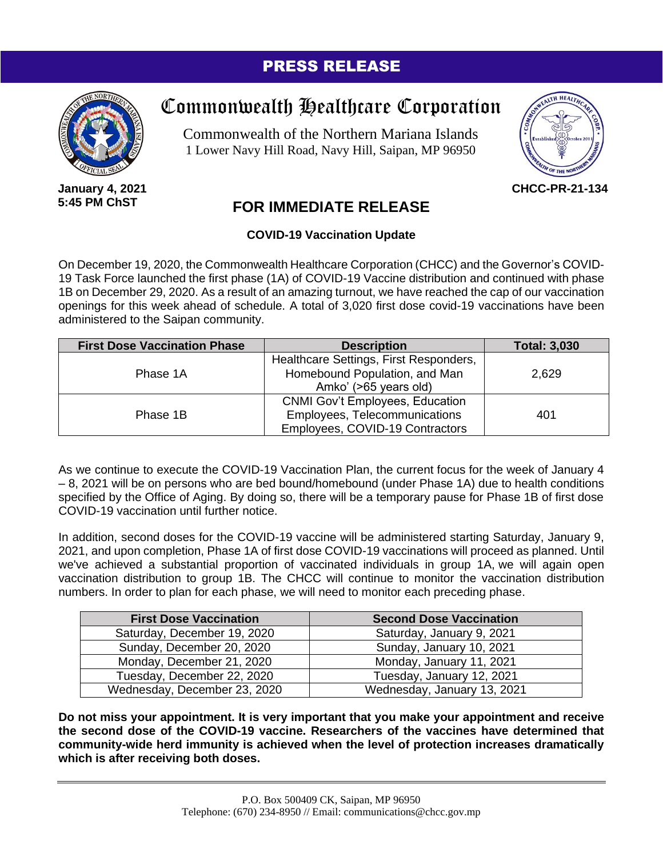## PRESS RELEASE



**January 4, 2021 5:45 PM ChST**

## Commonwealth Healthcare Corporation

Commonwealth of the Northern Mariana Islands 1 Lower Navy Hill Road, Navy Hill, Saipan, MP 96950



**CHCC-PR-21-134**

## **FOR IMMEDIATE RELEASE**

## **COVID-19 Vaccination Update**

On December 19, 2020, the Commonwealth Healthcare Corporation (CHCC) and the Governor's COVID-19 Task Force launched the first phase (1A) of COVID-19 Vaccine distribution and continued with phase 1B on December 29, 2020. As a result of an amazing turnout, we have reached the cap of our vaccination openings for this week ahead of schedule. A total of 3,020 first dose covid-19 vaccinations have been administered to the Saipan community.

| <b>First Dose Vaccination Phase</b> | <b>Description</b>                     | <b>Total: 3,030</b> |
|-------------------------------------|----------------------------------------|---------------------|
| Phase 1A                            | Healthcare Settings, First Responders, |                     |
|                                     | Homebound Population, and Man          | 2,629               |
|                                     | Amko' (>65 years old)                  |                     |
| Phase 1B                            | <b>CNMI Gov't Employees, Education</b> |                     |
|                                     | Employees, Telecommunications          | 401                 |
|                                     | Employees, COVID-19 Contractors        |                     |

As we continue to execute the COVID-19 Vaccination Plan, the current focus for the week of January 4 – 8, 2021 will be on persons who are bed bound/homebound (under Phase 1A) due to health conditions specified by the Office of Aging. By doing so, there will be a temporary pause for Phase 1B of first dose COVID-19 vaccination until further notice.

In addition, second doses for the COVID-19 vaccine will be administered starting Saturday, January 9, 2021, and upon completion, Phase 1A of first dose COVID-19 vaccinations will proceed as planned. Until we've achieved a substantial proportion of vaccinated individuals in group 1A, we will again open vaccination distribution to group 1B. The CHCC will continue to monitor the vaccination distribution numbers. In order to plan for each phase, we will need to monitor each preceding phase.

| <b>First Dose Vaccination</b> | <b>Second Dose Vaccination</b> |
|-------------------------------|--------------------------------|
| Saturday, December 19, 2020   | Saturday, January 9, 2021      |
| Sunday, December 20, 2020     | Sunday, January 10, 2021       |
| Monday, December 21, 2020     | Monday, January 11, 2021       |
| Tuesday, December 22, 2020    | Tuesday, January 12, 2021      |
| Wednesday, December 23, 2020  | Wednesday, January 13, 2021    |

**Do not miss your appointment. It is very important that you make your appointment and receive the second dose of the COVID-19 vaccine. Researchers of the vaccines have determined that community-wide herd immunity is achieved when the level of protection increases dramatically which is after receiving both doses.**